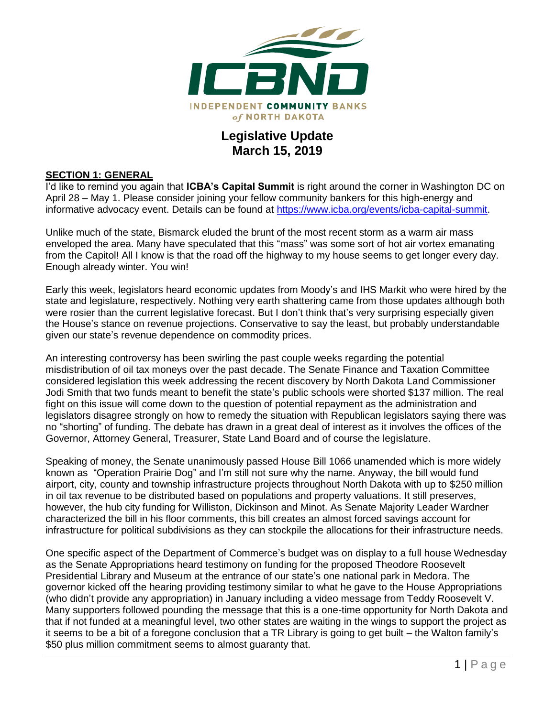

## **Legislative Update March 15, 2019**

#### **SECTION 1: GENERAL**

I'd like to remind you again that **ICBA's Capital Summit** is right around the corner in Washington DC on April 28 – May 1. Please consider joining your fellow community bankers for this high-energy and informative advocacy event. Details can be found at [https://www.icba.org/events/icba-capital-summit.](https://www.icba.org/events/icba-capital-summit)

Unlike much of the state, Bismarck eluded the brunt of the most recent storm as a warm air mass enveloped the area. Many have speculated that this "mass" was some sort of hot air vortex emanating from the Capitol! All I know is that the road off the highway to my house seems to get longer every day. Enough already winter. You win!

Early this week, legislators heard economic updates from Moody's and IHS Markit who were hired by the state and legislature, respectively. Nothing very earth shattering came from those updates although both were rosier than the current legislative forecast. But I don't think that's very surprising especially given the House's stance on revenue projections. Conservative to say the least, but probably understandable given our state's revenue dependence on commodity prices.

An interesting controversy has been swirling the past couple weeks regarding the potential misdistribution of oil tax moneys over the past decade. The Senate Finance and Taxation Committee considered legislation this week addressing the recent discovery by North Dakota Land Commissioner Jodi Smith that two funds meant to benefit the state's public schools were shorted \$137 million. The real fight on this issue will come down to the question of potential repayment as the administration and legislators disagree strongly on how to remedy the situation with Republican legislators saying there was no "shorting" of funding. The debate has drawn in a great deal of interest as it involves the offices of the Governor, Attorney General, Treasurer, State Land Board and of course the legislature.

Speaking of money, the Senate unanimously passed House Bill 1066 unamended which is more widely known as "Operation Prairie Dog" and I'm still not sure why the name. Anyway, the bill would fund airport, city, county and township infrastructure projects throughout North Dakota with up to \$250 million in oil tax revenue to be distributed based on populations and property valuations. It still preserves, however, the hub city funding for Williston, Dickinson and Minot. As Senate Majority Leader Wardner characterized the bill in his floor comments, this bill creates an almost forced savings account for infrastructure for political subdivisions as they can stockpile the allocations for their infrastructure needs.

One specific aspect of the Department of Commerce's budget was on display to a full house Wednesday as the Senate Appropriations heard testimony on funding for the proposed Theodore Roosevelt Presidential Library and Museum at the entrance of our state's one national park in Medora. The governor kicked off the hearing providing testimony similar to what he gave to the House Appropriations (who didn't provide any appropriation) in January including a video message from Teddy Roosevelt V. Many supporters followed pounding the message that this is a one-time opportunity for North Dakota and that if not funded at a meaningful level, two other states are waiting in the wings to support the project as it seems to be a bit of a foregone conclusion that a TR Library is going to get built – the Walton family's \$50 plus million commitment seems to almost guaranty that.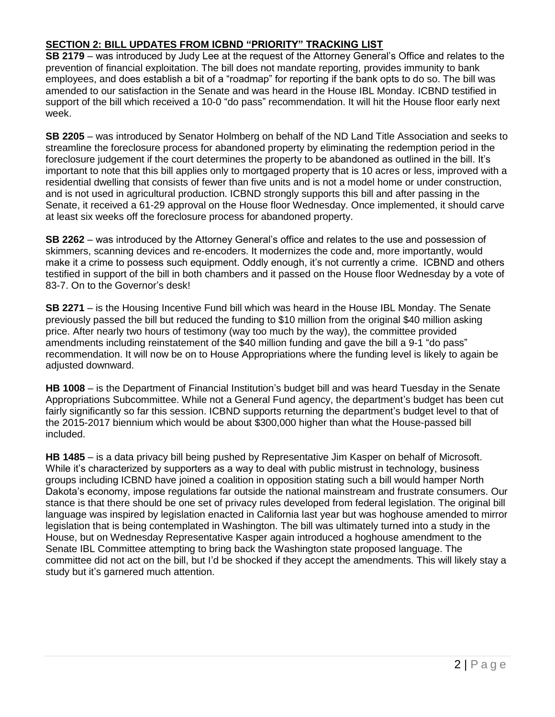### **SECTION 2: BILL UPDATES FROM ICBND "PRIORITY" TRACKING LIST**

**SB 2179** – was introduced by Judy Lee at the request of the Attorney General's Office and relates to the prevention of financial exploitation. The bill does not mandate reporting, provides immunity to bank employees, and does establish a bit of a "roadmap" for reporting if the bank opts to do so. The bill was amended to our satisfaction in the Senate and was heard in the House IBL Monday. ICBND testified in support of the bill which received a 10-0 "do pass" recommendation. It will hit the House floor early next week.

**SB 2205** – was introduced by Senator Holmberg on behalf of the ND Land Title Association and seeks to streamline the foreclosure process for abandoned property by eliminating the redemption period in the foreclosure judgement if the court determines the property to be abandoned as outlined in the bill. It's important to note that this bill applies only to mortgaged property that is 10 acres or less, improved with a residential dwelling that consists of fewer than five units and is not a model home or under construction, and is not used in agricultural production. ICBND strongly supports this bill and after passing in the Senate, it received a 61-29 approval on the House floor Wednesday. Once implemented, it should carve at least six weeks off the foreclosure process for abandoned property.

**SB 2262** – was introduced by the Attorney General's office and relates to the use and possession of skimmers, scanning devices and re-encoders. It modernizes the code and, more importantly, would make it a crime to possess such equipment. Oddly enough, it's not currently a crime. ICBND and others testified in support of the bill in both chambers and it passed on the House floor Wednesday by a vote of 83-7. On to the Governor's desk!

**SB 2271** – is the Housing Incentive Fund bill which was heard in the House IBL Monday. The Senate previously passed the bill but reduced the funding to \$10 million from the original \$40 million asking price. After nearly two hours of testimony (way too much by the way), the committee provided amendments including reinstatement of the \$40 million funding and gave the bill a 9-1 "do pass" recommendation. It will now be on to House Appropriations where the funding level is likely to again be adjusted downward.

**HB 1008** – is the Department of Financial Institution's budget bill and was heard Tuesday in the Senate Appropriations Subcommittee. While not a General Fund agency, the department's budget has been cut fairly significantly so far this session. ICBND supports returning the department's budget level to that of the 2015-2017 biennium which would be about \$300,000 higher than what the House-passed bill included.

**HB 1485** – is a data privacy bill being pushed by Representative Jim Kasper on behalf of Microsoft. While it's characterized by supporters as a way to deal with public mistrust in technology, business groups including ICBND have joined a coalition in opposition stating such a bill would hamper North Dakota's economy, impose regulations far outside the national mainstream and frustrate consumers. Our stance is that there should be one set of privacy rules developed from federal legislation. The original bill language was inspired by legislation enacted in California last year but was hoghouse amended to mirror legislation that is being contemplated in Washington. The bill was ultimately turned into a study in the House, but on Wednesday Representative Kasper again introduced a hoghouse amendment to the Senate IBL Committee attempting to bring back the Washington state proposed language. The committee did not act on the bill, but I'd be shocked if they accept the amendments. This will likely stay a study but it's garnered much attention.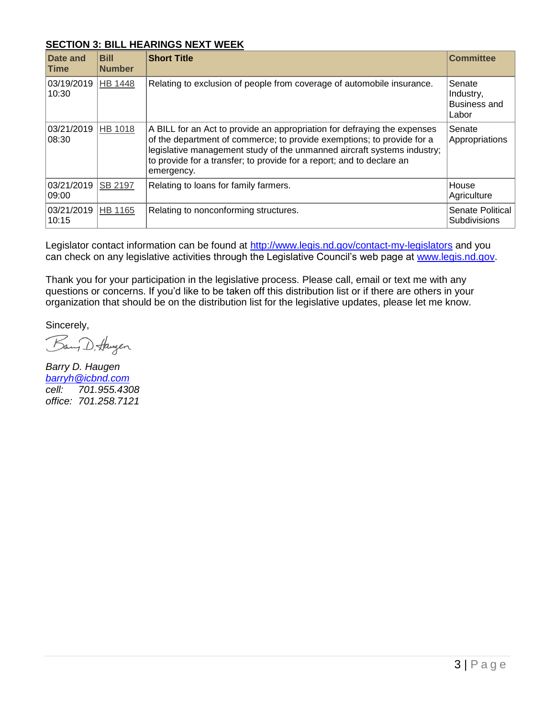#### **SECTION 3: BILL HEARINGS NEXT WEEK**

| Date and<br><b>Time</b> | <b>Bill</b><br><b>Number</b> | <b>Short Title</b>                                                                                                                                                                                                                                                                                                   | <b>Committee</b>                                    |
|-------------------------|------------------------------|----------------------------------------------------------------------------------------------------------------------------------------------------------------------------------------------------------------------------------------------------------------------------------------------------------------------|-----------------------------------------------------|
| 03/19/2019<br>10:30     | <b>HB 1448</b>               | Relating to exclusion of people from coverage of automobile insurance.                                                                                                                                                                                                                                               | Senate<br>Industry,<br><b>Business and</b><br>Labor |
| 03/21/2019<br>08:30     | <b>HB 1018</b>               | A BILL for an Act to provide an appropriation for defraying the expenses<br>of the department of commerce; to provide exemptions; to provide for a<br>legislative management study of the unmanned aircraft systems industry;<br>to provide for a transfer; to provide for a report; and to declare an<br>emergency. | Senate<br>Appropriations                            |
| 03/21/2019<br>09:00     | SB 2197                      | Relating to loans for family farmers.                                                                                                                                                                                                                                                                                | House<br>Agriculture                                |
| 03/21/2019<br>10:15     | HB 1165                      | Relating to nonconforming structures.                                                                                                                                                                                                                                                                                | Senate Political<br><b>Subdivisions</b>             |

Legislator contact information can be found at<http://www.legis.nd.gov/contact-my-legislators> and you can check on any legislative activities through the Legislative Council's web page at [www.legis.nd.gov.](http://www.legis.nd.gov/)

Thank you for your participation in the legislative process. Please call, email or text me with any questions or concerns. If you'd like to be taken off this distribution list or if there are others in your organization that should be on the distribution list for the legislative updates, please let me know.

Sincerely,

Bang D. Haugen

*Barry D. Haugen [barryh@icbnd.com](mailto:barryh@icbnd.com) cell: 701.955.4308 office: 701.258.7121*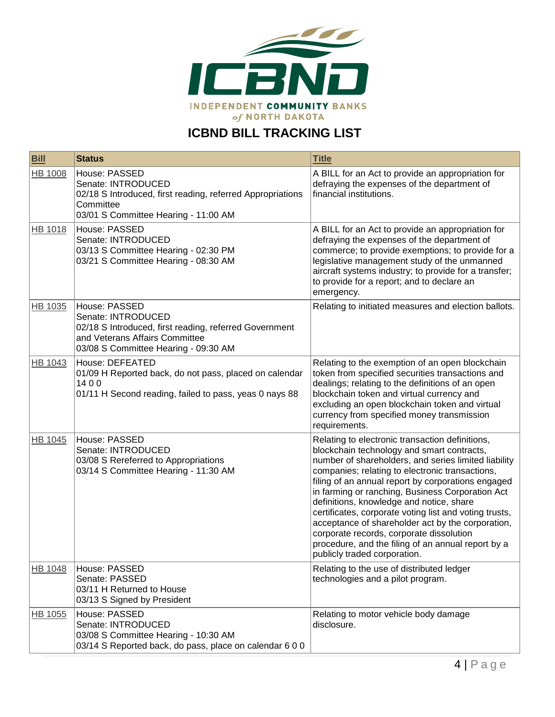

# **ICBND BILL TRACKING LIST**

| <b>Bill</b>    | <b>Status</b>                                                                                                                                                           | <b>Title</b>                                                                                                                                                                                                                                                                                                                                                                                                                                                                                                                                                                                                    |
|----------------|-------------------------------------------------------------------------------------------------------------------------------------------------------------------------|-----------------------------------------------------------------------------------------------------------------------------------------------------------------------------------------------------------------------------------------------------------------------------------------------------------------------------------------------------------------------------------------------------------------------------------------------------------------------------------------------------------------------------------------------------------------------------------------------------------------|
| <b>HB 1008</b> | House: PASSED<br>Senate: INTRODUCED<br>02/18 S Introduced, first reading, referred Appropriations<br>Committee<br>03/01 S Committee Hearing - 11:00 AM                  | A BILL for an Act to provide an appropriation for<br>defraying the expenses of the department of<br>financial institutions.                                                                                                                                                                                                                                                                                                                                                                                                                                                                                     |
| HB 1018        | House: PASSED<br>Senate: INTRODUCED<br>03/13 S Committee Hearing - 02:30 PM<br>03/21 S Committee Hearing - 08:30 AM                                                     | A BILL for an Act to provide an appropriation for<br>defraying the expenses of the department of<br>commerce; to provide exemptions; to provide for a<br>legislative management study of the unmanned<br>aircraft systems industry; to provide for a transfer;<br>to provide for a report; and to declare an<br>emergency.                                                                                                                                                                                                                                                                                      |
| HB 1035        | House: PASSED<br>Senate: INTRODUCED<br>02/18 S Introduced, first reading, referred Government<br>and Veterans Affairs Committee<br>03/08 S Committee Hearing - 09:30 AM | Relating to initiated measures and election ballots.                                                                                                                                                                                                                                                                                                                                                                                                                                                                                                                                                            |
| <b>HB 1043</b> | House: DEFEATED<br>01/09 H Reported back, do not pass, placed on calendar<br>1400<br>01/11 H Second reading, failed to pass, yeas 0 nays 88                             | Relating to the exemption of an open blockchain<br>token from specified securities transactions and<br>dealings; relating to the definitions of an open<br>blockchain token and virtual currency and<br>excluding an open blockchain token and virtual<br>currency from specified money transmission<br>requirements.                                                                                                                                                                                                                                                                                           |
| HB 1045        | House: PASSED<br>Senate: INTRODUCED<br>03/08 S Rereferred to Appropriations<br>03/14 S Committee Hearing - 11:30 AM                                                     | Relating to electronic transaction definitions,<br>blockchain technology and smart contracts,<br>number of shareholders, and series limited liability<br>companies; relating to electronic transactions,<br>filing of an annual report by corporations engaged<br>in farming or ranching, Business Corporation Act<br>definitions, knowledge and notice, share<br>certificates, corporate voting list and voting trusts,<br>acceptance of shareholder act by the corporation,<br>corporate records, corporate dissolution<br>procedure, and the filing of an annual report by a<br>publicly traded corporation. |
| <b>HB 1048</b> | House: PASSED<br>Senate: PASSED<br>03/11 H Returned to House<br>03/13 S Signed by President                                                                             | Relating to the use of distributed ledger<br>technologies and a pilot program.                                                                                                                                                                                                                                                                                                                                                                                                                                                                                                                                  |
| HB 1055        | House: PASSED<br>Senate: INTRODUCED<br>03/08 S Committee Hearing - 10:30 AM<br>03/14 S Reported back, do pass, place on calendar 6 0 0                                  | Relating to motor vehicle body damage<br>disclosure.                                                                                                                                                                                                                                                                                                                                                                                                                                                                                                                                                            |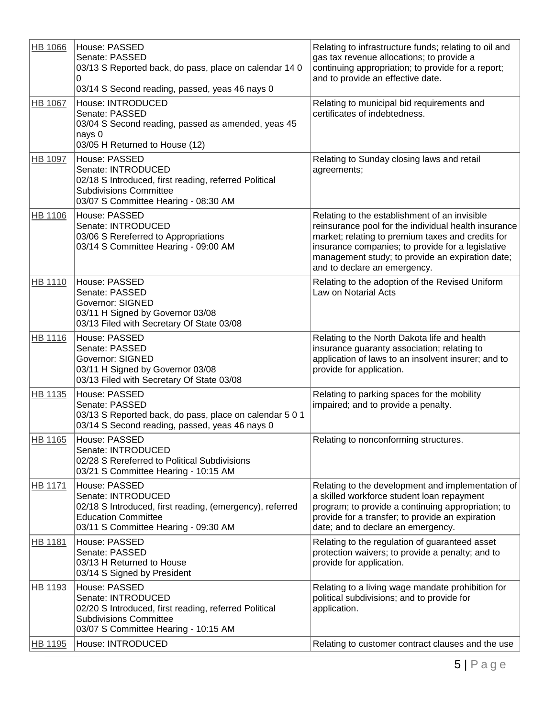| <b>HB 1066</b> | House: PASSED<br>Senate: PASSED<br>03/13 S Reported back, do pass, place on calendar 14 0<br>0<br>03/14 S Second reading, passed, yeas 46 nays 0                      | Relating to infrastructure funds; relating to oil and<br>gas tax revenue allocations; to provide a<br>continuing appropriation; to provide for a report;<br>and to provide an effective date.                                                                                                       |
|----------------|-----------------------------------------------------------------------------------------------------------------------------------------------------------------------|-----------------------------------------------------------------------------------------------------------------------------------------------------------------------------------------------------------------------------------------------------------------------------------------------------|
| <b>HB 1067</b> | House: INTRODUCED<br>Senate: PASSED<br>03/04 S Second reading, passed as amended, yeas 45<br>nays 0<br>03/05 H Returned to House (12)                                 | Relating to municipal bid requirements and<br>certificates of indebtedness.                                                                                                                                                                                                                         |
| HB 1097        | House: PASSED<br>Senate: INTRODUCED<br>02/18 S Introduced, first reading, referred Political<br><b>Subdivisions Committee</b><br>03/07 S Committee Hearing - 08:30 AM | Relating to Sunday closing laws and retail<br>agreements;                                                                                                                                                                                                                                           |
| HB 1106        | House: PASSED<br>Senate: INTRODUCED<br>03/06 S Rereferred to Appropriations<br>03/14 S Committee Hearing - 09:00 AM                                                   | Relating to the establishment of an invisible<br>reinsurance pool for the individual health insurance<br>market; relating to premium taxes and credits for<br>insurance companies; to provide for a legislative<br>management study; to provide an expiration date;<br>and to declare an emergency. |
| HB 1110        | House: PASSED<br>Senate: PASSED<br><b>Governor: SIGNED</b><br>03/11 H Signed by Governor 03/08<br>03/13 Filed with Secretary Of State 03/08                           | Relating to the adoption of the Revised Uniform<br>Law on Notarial Acts                                                                                                                                                                                                                             |
| <b>HB 1116</b> | House: PASSED<br>Senate: PASSED<br><b>Governor: SIGNED</b><br>03/11 H Signed by Governor 03/08<br>03/13 Filed with Secretary Of State 03/08                           | Relating to the North Dakota life and health<br>insurance guaranty association; relating to<br>application of laws to an insolvent insurer; and to<br>provide for application.                                                                                                                      |
| HB 1135        | House: PASSED<br>Senate: PASSED<br>03/13 S Reported back, do pass, place on calendar 5 0 1<br>03/14 S Second reading, passed, yeas 46 nays 0                          | Relating to parking spaces for the mobility<br>impaired; and to provide a penalty.                                                                                                                                                                                                                  |
| HB 1165        | House: PASSED<br>Senate: INTRODUCED<br>02/28 S Rereferred to Political Subdivisions<br>03/21 S Committee Hearing - 10:15 AM                                           | Relating to nonconforming structures.                                                                                                                                                                                                                                                               |
| HB 1171        | House: PASSED<br>Senate: INTRODUCED<br>02/18 S Introduced, first reading, (emergency), referred<br><b>Education Committee</b><br>03/11 S Committee Hearing - 09:30 AM | Relating to the development and implementation of<br>a skilled workforce student loan repayment<br>program; to provide a continuing appropriation; to<br>provide for a transfer; to provide an expiration<br>date; and to declare an emergency.                                                     |
| HB 1181        | House: PASSED<br>Senate: PASSED<br>03/13 H Returned to House<br>03/14 S Signed by President                                                                           | Relating to the regulation of guaranteed asset<br>protection waivers; to provide a penalty; and to<br>provide for application.                                                                                                                                                                      |
| HB 1193        | House: PASSED<br>Senate: INTRODUCED<br>02/20 S Introduced, first reading, referred Political<br><b>Subdivisions Committee</b><br>03/07 S Committee Hearing - 10:15 AM | Relating to a living wage mandate prohibition for<br>political subdivisions; and to provide for<br>application.                                                                                                                                                                                     |
| HB 1195        | House: INTRODUCED                                                                                                                                                     | Relating to customer contract clauses and the use                                                                                                                                                                                                                                                   |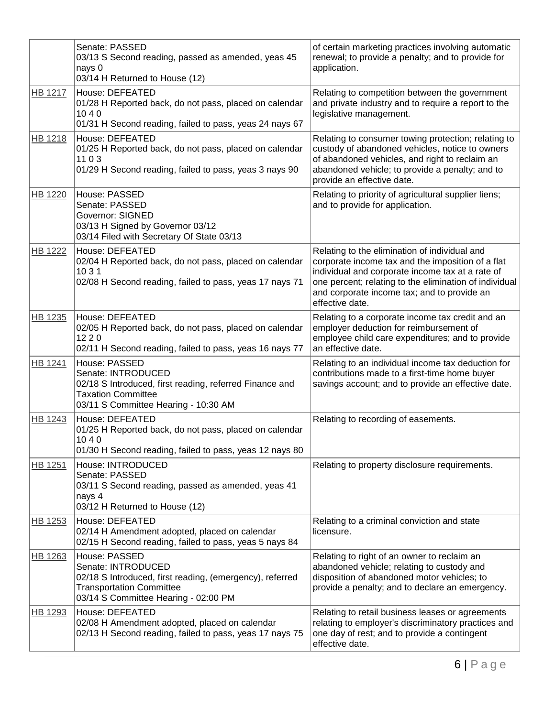|                | Senate: PASSED<br>03/13 S Second reading, passed as amended, yeas 45<br>nays 0<br>03/14 H Returned to House (12)                                                           | of certain marketing practices involving automatic<br>renewal; to provide a penalty; and to provide for<br>application.                                                                                                                                                            |
|----------------|----------------------------------------------------------------------------------------------------------------------------------------------------------------------------|------------------------------------------------------------------------------------------------------------------------------------------------------------------------------------------------------------------------------------------------------------------------------------|
| <b>HB 1217</b> | <b>House: DEFEATED</b><br>01/28 H Reported back, do not pass, placed on calendar<br>1040<br>01/31 H Second reading, failed to pass, yeas 24 nays 67                        | Relating to competition between the government<br>and private industry and to require a report to the<br>legislative management.                                                                                                                                                   |
| HB 1218        | House: DEFEATED<br>01/25 H Reported back, do not pass, placed on calendar<br>1103<br>01/29 H Second reading, failed to pass, yeas 3 nays 90                                | Relating to consumer towing protection; relating to<br>custody of abandoned vehicles, notice to owners<br>of abandoned vehicles, and right to reclaim an<br>abandoned vehicle; to provide a penalty; and to<br>provide an effective date.                                          |
| <b>HB 1220</b> | House: PASSED<br>Senate: PASSED<br><b>Governor: SIGNED</b><br>03/13 H Signed by Governor 03/12<br>03/14 Filed with Secretary Of State 03/13                                | Relating to priority of agricultural supplier liens;<br>and to provide for application.                                                                                                                                                                                            |
| <b>HB 1222</b> | <b>House: DEFEATED</b><br>02/04 H Reported back, do not pass, placed on calendar<br>10 3 1<br>02/08 H Second reading, failed to pass, yeas 17 nays 71                      | Relating to the elimination of individual and<br>corporate income tax and the imposition of a flat<br>individual and corporate income tax at a rate of<br>one percent; relating to the elimination of individual<br>and corporate income tax; and to provide an<br>effective date. |
| HB 1235        | House: DEFEATED<br>02/05 H Reported back, do not pass, placed on calendar<br>1220<br>02/11 H Second reading, failed to pass, yeas 16 nays 77                               | Relating to a corporate income tax credit and an<br>employer deduction for reimbursement of<br>employee child care expenditures; and to provide<br>an effective date.                                                                                                              |
| <b>HB 1241</b> | House: PASSED<br>Senate: INTRODUCED<br>02/18 S Introduced, first reading, referred Finance and<br><b>Taxation Committee</b><br>03/11 S Committee Hearing - 10:30 AM        | Relating to an individual income tax deduction for<br>contributions made to a first-time home buyer<br>savings account; and to provide an effective date.                                                                                                                          |
| <b>HB 1243</b> | House: DEFEATED<br>01/25 H Reported back, do not pass, placed on calendar<br>1040<br>01/30 H Second reading, failed to pass, yeas 12 nays 80                               | Relating to recording of easements.                                                                                                                                                                                                                                                |
| HB 1251        | House: INTRODUCED<br>Senate: PASSED<br>03/11 S Second reading, passed as amended, yeas 41<br>nays 4<br>03/12 H Returned to House (12)                                      | Relating to property disclosure requirements.                                                                                                                                                                                                                                      |
| HB 1253        | House: DEFEATED<br>02/14 H Amendment adopted, placed on calendar<br>02/15 H Second reading, failed to pass, yeas 5 nays 84                                                 | Relating to a criminal conviction and state<br>licensure.                                                                                                                                                                                                                          |
| HB 1263        | House: PASSED<br>Senate: INTRODUCED<br>02/18 S Introduced, first reading, (emergency), referred<br><b>Transportation Committee</b><br>03/14 S Committee Hearing - 02:00 PM | Relating to right of an owner to reclaim an<br>abandoned vehicle; relating to custody and<br>disposition of abandoned motor vehicles; to<br>provide a penalty; and to declare an emergency.                                                                                        |
| HB 1293        | <b>House: DEFEATED</b><br>02/08 H Amendment adopted, placed on calendar<br>02/13 H Second reading, failed to pass, yeas 17 nays 75                                         | Relating to retail business leases or agreements<br>relating to employer's discriminatory practices and<br>one day of rest; and to provide a contingent<br>effective date.                                                                                                         |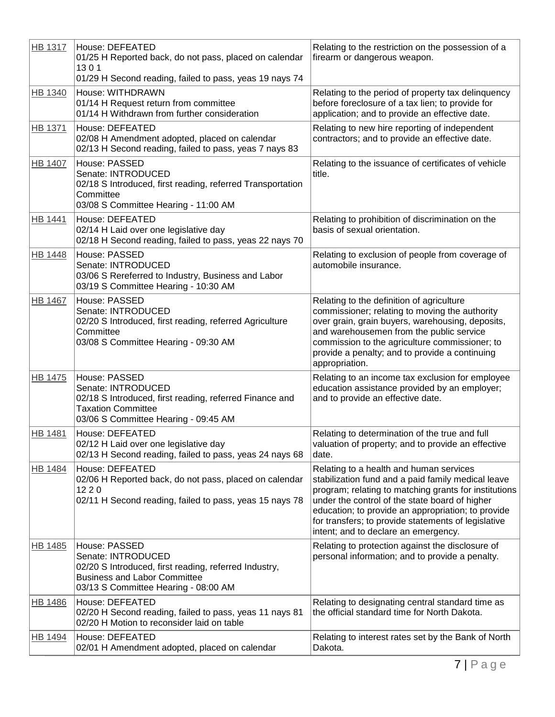| <b>HB 1317</b> | House: DEFEATED<br>01/25 H Reported back, do not pass, placed on calendar<br>1301<br>01/29 H Second reading, failed to pass, yeas 19 nays 74                                | Relating to the restriction on the possession of a<br>firearm or dangerous weapon.                                                                                                                                                                                                                                                                            |
|----------------|-----------------------------------------------------------------------------------------------------------------------------------------------------------------------------|---------------------------------------------------------------------------------------------------------------------------------------------------------------------------------------------------------------------------------------------------------------------------------------------------------------------------------------------------------------|
| <b>HB 1340</b> | House: WITHDRAWN<br>01/14 H Request return from committee<br>01/14 H Withdrawn from further consideration                                                                   | Relating to the period of property tax delinquency<br>before foreclosure of a tax lien; to provide for<br>application; and to provide an effective date.                                                                                                                                                                                                      |
| <b>HB 1371</b> | House: DEFEATED<br>02/08 H Amendment adopted, placed on calendar<br>02/13 H Second reading, failed to pass, yeas 7 nays 83                                                  | Relating to new hire reporting of independent<br>contractors; and to provide an effective date.                                                                                                                                                                                                                                                               |
| <b>HB 1407</b> | House: PASSED<br>Senate: INTRODUCED<br>02/18 S Introduced, first reading, referred Transportation<br>Committee<br>03/08 S Committee Hearing - 11:00 AM                      | Relating to the issuance of certificates of vehicle<br>title.                                                                                                                                                                                                                                                                                                 |
| <b>HB 1441</b> | House: DEFEATED<br>02/14 H Laid over one legislative day<br>02/18 H Second reading, failed to pass, yeas 22 nays 70                                                         | Relating to prohibition of discrimination on the<br>basis of sexual orientation.                                                                                                                                                                                                                                                                              |
| <b>HB 1448</b> | House: PASSED<br>Senate: INTRODUCED<br>03/06 S Rereferred to Industry, Business and Labor<br>03/19 S Committee Hearing - 10:30 AM                                           | Relating to exclusion of people from coverage of<br>automobile insurance.                                                                                                                                                                                                                                                                                     |
| <b>HB 1467</b> | House: PASSED<br>Senate: INTRODUCED<br>02/20 S Introduced, first reading, referred Agriculture<br>Committee<br>03/08 S Committee Hearing - 09:30 AM                         | Relating to the definition of agriculture<br>commissioner; relating to moving the authority<br>over grain, grain buyers, warehousing, deposits,<br>and warehousemen from the public service<br>commission to the agriculture commissioner; to<br>provide a penalty; and to provide a continuing<br>appropriation.                                             |
| <b>HB 1475</b> | House: PASSED<br>Senate: INTRODUCED<br>02/18 S Introduced, first reading, referred Finance and<br><b>Taxation Committee</b><br>03/06 S Committee Hearing - 09:45 AM         | Relating to an income tax exclusion for employee<br>education assistance provided by an employer;<br>and to provide an effective date.                                                                                                                                                                                                                        |
| HB 1481        | <b>House: DEFEATED</b><br>02/12 H Laid over one legislative day<br>02/13 H Second reading, failed to pass, yeas 24 nays 68                                                  | Relating to determination of the true and full<br>valuation of property; and to provide an effective<br>date.                                                                                                                                                                                                                                                 |
| <b>HB 1484</b> | House: DEFEATED<br>02/06 H Reported back, do not pass, placed on calendar<br>1220<br>02/11 H Second reading, failed to pass, yeas 15 nays 78                                | Relating to a health and human services<br>stabilization fund and a paid family medical leave<br>program; relating to matching grants for institutions<br>under the control of the state board of higher<br>education; to provide an appropriation; to provide<br>for transfers; to provide statements of legislative<br>intent; and to declare an emergency. |
| HB 1485        | House: PASSED<br>Senate: INTRODUCED<br>02/20 S Introduced, first reading, referred Industry,<br><b>Business and Labor Committee</b><br>03/13 S Committee Hearing - 08:00 AM | Relating to protection against the disclosure of<br>personal information; and to provide a penalty.                                                                                                                                                                                                                                                           |
| <b>HB 1486</b> | <b>House: DEFEATED</b><br>02/20 H Second reading, failed to pass, yeas 11 nays 81<br>02/20 H Motion to reconsider laid on table                                             | Relating to designating central standard time as<br>the official standard time for North Dakota.                                                                                                                                                                                                                                                              |
| HB 1494        | House: DEFEATED<br>02/01 H Amendment adopted, placed on calendar                                                                                                            | Relating to interest rates set by the Bank of North<br>Dakota.                                                                                                                                                                                                                                                                                                |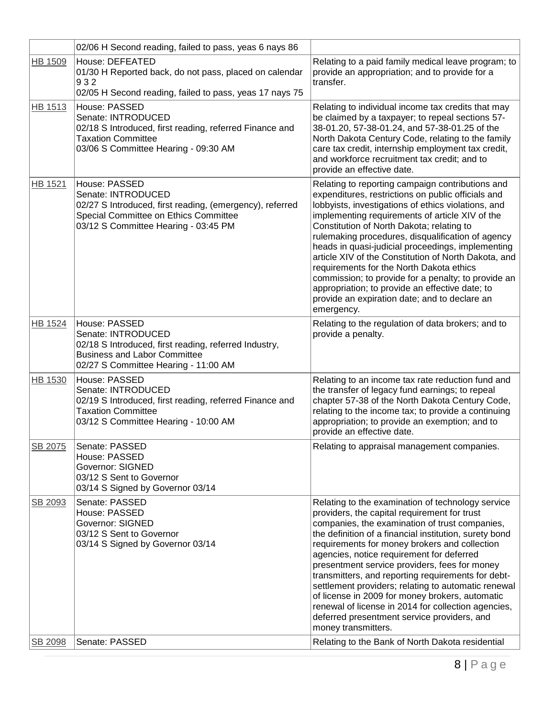|                | 02/06 H Second reading, failed to pass, yeas 6 nays 86                                                                                                                           |                                                                                                                                                                                                                                                                                                                                                                                                                                                                                                                                                                                                                                                           |
|----------------|----------------------------------------------------------------------------------------------------------------------------------------------------------------------------------|-----------------------------------------------------------------------------------------------------------------------------------------------------------------------------------------------------------------------------------------------------------------------------------------------------------------------------------------------------------------------------------------------------------------------------------------------------------------------------------------------------------------------------------------------------------------------------------------------------------------------------------------------------------|
| <b>HB 1509</b> | House: DEFEATED<br>01/30 H Reported back, do not pass, placed on calendar<br>932<br>02/05 H Second reading, failed to pass, yeas 17 nays 75                                      | Relating to a paid family medical leave program; to<br>provide an appropriation; and to provide for a<br>transfer.                                                                                                                                                                                                                                                                                                                                                                                                                                                                                                                                        |
| HB 1513        | House: PASSED<br>Senate: INTRODUCED<br>02/18 S Introduced, first reading, referred Finance and<br><b>Taxation Committee</b><br>03/06 S Committee Hearing - 09:30 AM              | Relating to individual income tax credits that may<br>be claimed by a taxpayer; to repeal sections 57-<br>38-01.20, 57-38-01.24, and 57-38-01.25 of the<br>North Dakota Century Code, relating to the family<br>care tax credit, internship employment tax credit,<br>and workforce recruitment tax credit; and to<br>provide an effective date.                                                                                                                                                                                                                                                                                                          |
| HB 1521        | House: PASSED<br>Senate: INTRODUCED<br>02/27 S Introduced, first reading, (emergency), referred<br>Special Committee on Ethics Committee<br>03/12 S Committee Hearing - 03:45 PM | Relating to reporting campaign contributions and<br>expenditures, restrictions on public officials and<br>lobbyists, investigations of ethics violations, and<br>implementing requirements of article XIV of the<br>Constitution of North Dakota; relating to<br>rulemaking procedures, disqualification of agency<br>heads in quasi-judicial proceedings, implementing<br>article XIV of the Constitution of North Dakota, and<br>requirements for the North Dakota ethics<br>commission; to provide for a penalty; to provide an<br>appropriation; to provide an effective date; to<br>provide an expiration date; and to declare an<br>emergency.      |
| HB 1524        | House: PASSED<br>Senate: INTRODUCED<br>02/18 S Introduced, first reading, referred Industry,<br><b>Business and Labor Committee</b><br>02/27 S Committee Hearing - 11:00 AM      | Relating to the regulation of data brokers; and to<br>provide a penalty.                                                                                                                                                                                                                                                                                                                                                                                                                                                                                                                                                                                  |
| HB 1530        | House: PASSED<br>Senate: INTRODUCED<br>02/19 S Introduced, first reading, referred Finance and<br><b>Taxation Committee</b><br>03/12 S Committee Hearing - 10:00 AM              | Relating to an income tax rate reduction fund and<br>the transfer of legacy fund earnings; to repeal<br>chapter 57-38 of the North Dakota Century Code,<br>relating to the income tax; to provide a continuing<br>appropriation; to provide an exemption; and to<br>provide an effective date.                                                                                                                                                                                                                                                                                                                                                            |
| SB 2075        | Senate: PASSED<br>House: PASSED<br><b>Governor: SIGNED</b><br>03/12 S Sent to Governor<br>03/14 S Signed by Governor 03/14                                                       | Relating to appraisal management companies.                                                                                                                                                                                                                                                                                                                                                                                                                                                                                                                                                                                                               |
| SB 2093        | Senate: PASSED<br>House: PASSED<br><b>Governor: SIGNED</b><br>03/12 S Sent to Governor<br>03/14 S Signed by Governor 03/14<br>Senate: PASSED                                     | Relating to the examination of technology service<br>providers, the capital requirement for trust<br>companies, the examination of trust companies,<br>the definition of a financial institution, surety bond<br>requirements for money brokers and collection<br>agencies, notice requirement for deferred<br>presentment service providers, fees for money<br>transmitters, and reporting requirements for debt-<br>settlement providers; relating to automatic renewal<br>of license in 2009 for money brokers, automatic<br>renewal of license in 2014 for collection agencies,<br>deferred presentment service providers, and<br>money transmitters. |
| SB 2098        |                                                                                                                                                                                  | Relating to the Bank of North Dakota residential                                                                                                                                                                                                                                                                                                                                                                                                                                                                                                                                                                                                          |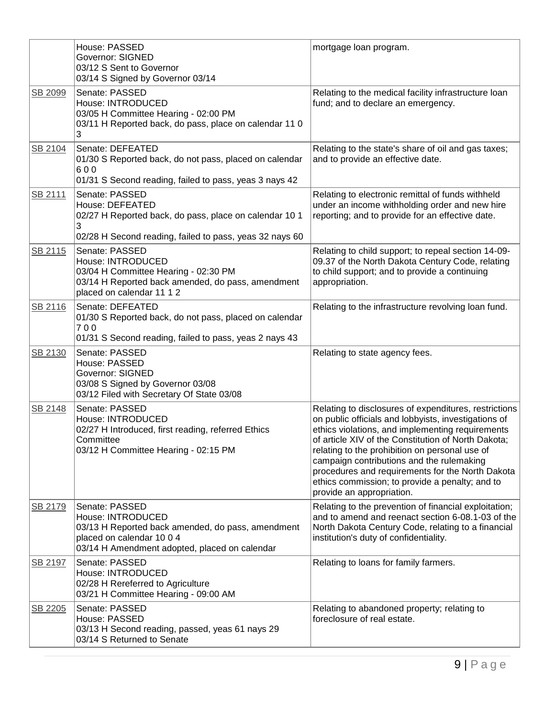|         | House: PASSED<br><b>Governor: SIGNED</b><br>03/12 S Sent to Governor<br>03/14 S Signed by Governor 03/14                                                               | mortgage loan program.                                                                                                                                                                                                                                                                                                                                                                                                                                      |
|---------|------------------------------------------------------------------------------------------------------------------------------------------------------------------------|-------------------------------------------------------------------------------------------------------------------------------------------------------------------------------------------------------------------------------------------------------------------------------------------------------------------------------------------------------------------------------------------------------------------------------------------------------------|
| SB 2099 | Senate: PASSED<br>House: INTRODUCED<br>03/05 H Committee Hearing - 02:00 PM<br>03/11 H Reported back, do pass, place on calendar 11 0<br>3                             | Relating to the medical facility infrastructure loan<br>fund; and to declare an emergency.                                                                                                                                                                                                                                                                                                                                                                  |
| SB 2104 | Senate: DEFEATED<br>01/30 S Reported back, do not pass, placed on calendar<br>600<br>01/31 S Second reading, failed to pass, yeas 3 nays 42                            | Relating to the state's share of oil and gas taxes;<br>and to provide an effective date.                                                                                                                                                                                                                                                                                                                                                                    |
| SB 2111 | Senate: PASSED<br>House: DEFEATED<br>02/27 H Reported back, do pass, place on calendar 10 1<br>3<br>02/28 H Second reading, failed to pass, yeas 32 nays 60            | Relating to electronic remittal of funds withheld<br>under an income withholding order and new hire<br>reporting; and to provide for an effective date.                                                                                                                                                                                                                                                                                                     |
| SB 2115 | Senate: PASSED<br>House: INTRODUCED<br>03/04 H Committee Hearing - 02:30 PM<br>03/14 H Reported back amended, do pass, amendment<br>placed on calendar 11 1 2          | Relating to child support; to repeal section 14-09-<br>09.37 of the North Dakota Century Code, relating<br>to child support; and to provide a continuing<br>appropriation.                                                                                                                                                                                                                                                                                  |
| SB 2116 | Senate: DEFEATED<br>01/30 S Reported back, do not pass, placed on calendar<br>700<br>01/31 S Second reading, failed to pass, yeas 2 nays 43                            | Relating to the infrastructure revolving loan fund.                                                                                                                                                                                                                                                                                                                                                                                                         |
| SB 2130 | Senate: PASSED<br>House: PASSED<br>Governor: SIGNED<br>03/08 S Signed by Governor 03/08<br>03/12 Filed with Secretary Of State 03/08                                   | Relating to state agency fees.                                                                                                                                                                                                                                                                                                                                                                                                                              |
| SB 2148 | Senate: PASSED<br>House: INTRODUCED<br>02/27 H Introduced, first reading, referred Ethics<br>Committee<br>03/12 H Committee Hearing - 02:15 PM                         | Relating to disclosures of expenditures, restrictions<br>on public officials and lobbyists, investigations of<br>ethics violations, and implementing requirements<br>of article XIV of the Constitution of North Dakota;<br>relating to the prohibition on personal use of<br>campaign contributions and the rulemaking<br>procedures and requirements for the North Dakota<br>ethics commission; to provide a penalty; and to<br>provide an appropriation. |
| SB 2179 | Senate: PASSED<br>House: INTRODUCED<br>03/13 H Reported back amended, do pass, amendment<br>placed on calendar 10 0 4<br>03/14 H Amendment adopted, placed on calendar | Relating to the prevention of financial exploitation;<br>and to amend and reenact section 6-08.1-03 of the<br>North Dakota Century Code, relating to a financial<br>institution's duty of confidentiality.                                                                                                                                                                                                                                                  |
| SB 2197 | Senate: PASSED<br>House: INTRODUCED<br>02/28 H Rereferred to Agriculture<br>03/21 H Committee Hearing - 09:00 AM                                                       | Relating to loans for family farmers.                                                                                                                                                                                                                                                                                                                                                                                                                       |
| SB 2205 | Senate: PASSED<br>House: PASSED<br>03/13 H Second reading, passed, yeas 61 nays 29<br>03/14 S Returned to Senate                                                       | Relating to abandoned property; relating to<br>foreclosure of real estate.                                                                                                                                                                                                                                                                                                                                                                                  |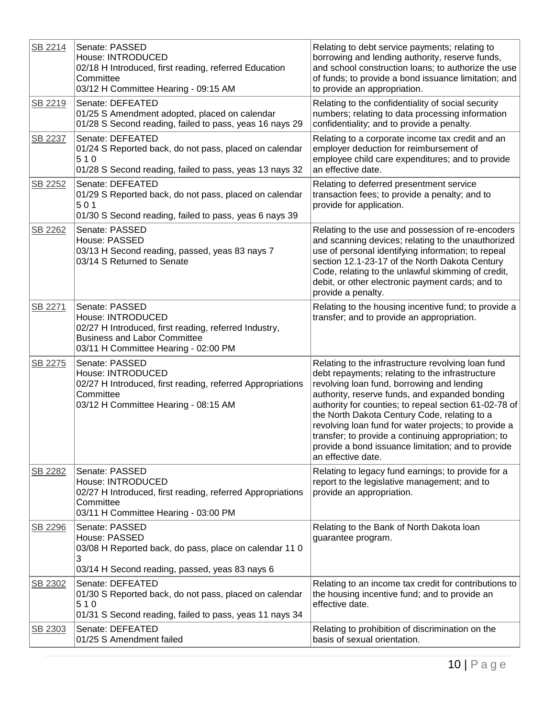| SB 2214 | Senate: PASSED<br>House: INTRODUCED<br>02/18 H Introduced, first reading, referred Education<br>Committee<br>03/12 H Committee Hearing - 09:15 AM                           | Relating to debt service payments; relating to<br>borrowing and lending authority, reserve funds,<br>and school construction loans; to authorize the use<br>of funds; to provide a bond issuance limitation; and<br>to provide an appropriation.                                                                                                                                                                                                                                                          |
|---------|-----------------------------------------------------------------------------------------------------------------------------------------------------------------------------|-----------------------------------------------------------------------------------------------------------------------------------------------------------------------------------------------------------------------------------------------------------------------------------------------------------------------------------------------------------------------------------------------------------------------------------------------------------------------------------------------------------|
| SB 2219 | Senate: DEFEATED<br>01/25 S Amendment adopted, placed on calendar<br>01/28 S Second reading, failed to pass, yeas 16 nays 29                                                | Relating to the confidentiality of social security<br>numbers; relating to data processing information<br>confidentiality; and to provide a penalty.                                                                                                                                                                                                                                                                                                                                                      |
| SB 2237 | Senate: DEFEATED<br>01/24 S Reported back, do not pass, placed on calendar<br>510<br>01/28 S Second reading, failed to pass, yeas 13 nays 32                                | Relating to a corporate income tax credit and an<br>employer deduction for reimbursement of<br>employee child care expenditures; and to provide<br>an effective date.                                                                                                                                                                                                                                                                                                                                     |
| SB 2252 | Senate: DEFEATED<br>01/29 S Reported back, do not pass, placed on calendar<br>501<br>01/30 S Second reading, failed to pass, yeas 6 nays 39                                 | Relating to deferred presentment service<br>transaction fees; to provide a penalty; and to<br>provide for application.                                                                                                                                                                                                                                                                                                                                                                                    |
| SB 2262 | Senate: PASSED<br>House: PASSED<br>03/13 H Second reading, passed, yeas 83 nays 7<br>03/14 S Returned to Senate                                                             | Relating to the use and possession of re-encoders<br>and scanning devices; relating to the unauthorized<br>use of personal identifying information; to repeal<br>section 12.1-23-17 of the North Dakota Century<br>Code, relating to the unlawful skimming of credit,<br>debit, or other electronic payment cards; and to<br>provide a penalty.                                                                                                                                                           |
| SB 2271 | Senate: PASSED<br>House: INTRODUCED<br>02/27 H Introduced, first reading, referred Industry,<br><b>Business and Labor Committee</b><br>03/11 H Committee Hearing - 02:00 PM | Relating to the housing incentive fund; to provide a<br>transfer; and to provide an appropriation.                                                                                                                                                                                                                                                                                                                                                                                                        |
| SB 2275 | Senate: PASSED<br>House: INTRODUCED<br>02/27 H Introduced, first reading, referred Appropriations<br>Committee<br>03/12 H Committee Hearing - 08:15 AM                      | Relating to the infrastructure revolving loan fund<br>debt repayments; relating to the infrastructure<br>revolving loan fund, borrowing and lending<br>authority, reserve funds, and expanded bonding<br>authority for counties; to repeal section 61-02-78 of<br>the North Dakota Century Code, relating to a<br>revolving loan fund for water projects; to provide a<br>transfer; to provide a continuing appropriation; to<br>provide a bond issuance limitation; and to provide<br>an effective date. |
| SB 2282 | Senate: PASSED<br>House: INTRODUCED<br>02/27 H Introduced, first reading, referred Appropriations<br>Committee<br>03/11 H Committee Hearing - 03:00 PM                      | Relating to legacy fund earnings; to provide for a<br>report to the legislative management; and to<br>provide an appropriation.                                                                                                                                                                                                                                                                                                                                                                           |
| SB 2296 | Senate: PASSED<br>House: PASSED<br>03/08 H Reported back, do pass, place on calendar 11 0<br>3<br>03/14 H Second reading, passed, yeas 83 nays 6                            | Relating to the Bank of North Dakota Ioan<br>guarantee program.                                                                                                                                                                                                                                                                                                                                                                                                                                           |
| SB 2302 | Senate: DEFEATED<br>01/30 S Reported back, do not pass, placed on calendar<br>510<br>01/31 S Second reading, failed to pass, yeas 11 nays 34                                | Relating to an income tax credit for contributions to<br>the housing incentive fund; and to provide an<br>effective date.                                                                                                                                                                                                                                                                                                                                                                                 |
| SB 2303 | Senate: DEFEATED<br>01/25 S Amendment failed                                                                                                                                | Relating to prohibition of discrimination on the<br>basis of sexual orientation.                                                                                                                                                                                                                                                                                                                                                                                                                          |